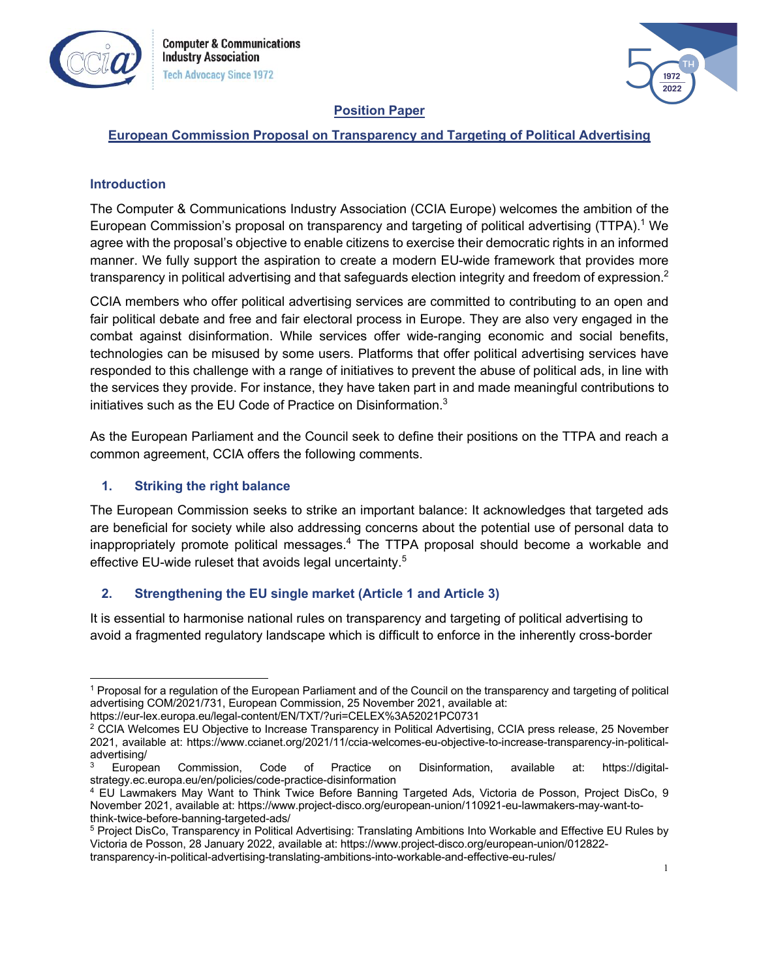



### **Position Paper**

## **European Commission Proposal on Transparency and Targeting of Political Advertising**

### **Introduction**

The Computer & Communications Industry Association (CCIA Europe) welcomes the ambition of the European Commission's proposal on transparency and targeting of political advertising (TTPA).<sup>1</sup> We agree with the proposal's objective to enable citizens to exercise their democratic rights in an informed manner. We fully support the aspiration to create a modern EU-wide framework that provides more transparency in political advertising and that safeguards election integrity and freedom of expression.<sup>2</sup>

CCIA members who offer political advertising services are committed to contributing to an open and fair political debate and free and fair electoral process in Europe. They are also very engaged in the combat against disinformation. While services offer wide-ranging economic and social benefits, technologies can be misused by some users. Platforms that offer political advertising services have responded to this challenge with a range of initiatives to prevent the abuse of political ads, in line with the services they provide. For instance, they have taken part in and made meaningful contributions to initiatives such as the EU Code of Practice on Disinformation.<sup>3</sup>

As the European Parliament and the Council seek to define their positions on the TTPA and reach a common agreement, CCIA offers the following comments.

### **1. Striking the right balance**

The European Commission seeks to strike an important balance: It acknowledges that targeted ads are beneficial for society while also addressing concerns about the potential use of personal data to inappropriately promote political messages. <sup>4</sup> The TTPA proposal should become a workable and effective EU-wide ruleset that avoids legal uncertainty.<sup>5</sup>

### **2. Strengthening the EU single market (Article 1 and Article 3)**

It is essential to harmonise national rules on transparency and targeting of political advertising to avoid a fragmented regulatory landscape which is difficult to enforce in the inherently cross-border

<sup>1</sup> Proposal for a regulation of the European Parliament and of the Council on the transparency and targeting of political advertising COM/2021/731, European Commission, 25 November 2021, available at:

https://eur-lex.europa.eu/legal-content/EN/TXT/?uri=CELEX%3A52021PC0731

<sup>&</sup>lt;sup>2</sup> CCIA Welcomes EU Objective to Increase Transparency in Political Advertising, CCIA press release, 25 November 2021, available at: https://www.ccianet.org/2021/11/ccia-welcomes-eu-objective-to-increase-transparency-in-politicaladvertising/ $3$  European

Commission, Code of Practice on Disinformation, available at: https://digitalstrategy.ec.europa.eu/en/policies/code-practice-disinformation

<sup>4</sup> EU Lawmakers May Want to Think Twice Before Banning Targeted Ads, Victoria de Posson, Project DisCo, 9 November 2021, available at: https://www.project-disco.org/european-union/110921-eu-lawmakers-may-want-tothink-twice-before-banning-targeted-ads/

<sup>5</sup> Project DisCo, Transparency in Political Advertising: Translating Ambitions Into Workable and Effective EU Rules by Victoria de Posson, 28 January 2022, available at: https://www.project-disco.org/european-union/012822-

transparency-in-political-advertising-translating-ambitions-into-workable-and-effective-eu-rules/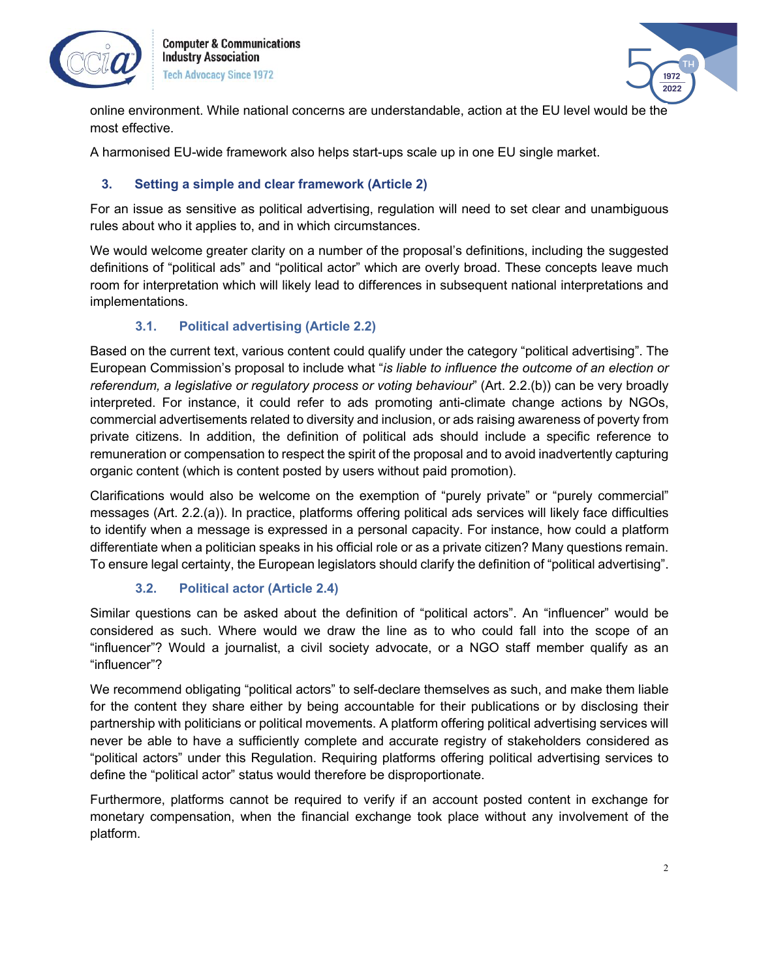

**Computer & Communications Industry Association Tech Advocacy Since 1972** 

$$
\begin{array}{c}\n\hline\n\end{array}
$$

online environment. While national concerns are understandable, action at the EU level would be the most effective.

A harmonised EU-wide framework also helps start-ups scale up in one EU single market.

## **3. Setting a simple and clear framework (Article 2)**

For an issue as sensitive as political advertising, regulation will need to set clear and unambiguous rules about who it applies to, and in which circumstances.

We would welcome greater clarity on a number of the proposal's definitions, including the suggested definitions of "political ads" and "political actor" which are overly broad. These concepts leave much room for interpretation which will likely lead to differences in subsequent national interpretations and implementations.

## **3.1. Political advertising (Article 2.2)**

Based on the current text, various content could qualify under the category "political advertising". The European Commission's proposal to include what "*is liable to influence the outcome of an election or referendum, a legislative or regulatory process or voting behaviour*" (Art. 2.2.(b)) can be very broadly interpreted. For instance, it could refer to ads promoting anti-climate change actions by NGOs, commercial advertisements related to diversity and inclusion, or ads raising awareness of poverty from private citizens. In addition, the definition of political ads should include a specific reference to remuneration or compensation to respect the spirit of the proposal and to avoid inadvertently capturing organic content (which is content posted by users without paid promotion).

Clarifications would also be welcome on the exemption of "purely private" or "purely commercial" messages (Art. 2.2.(a)). In practice, platforms offering political ads services will likely face difficulties to identify when a message is expressed in a personal capacity. For instance, how could a platform differentiate when a politician speaks in his official role or as a private citizen? Many questions remain. To ensure legal certainty, the European legislators should clarify the definition of "political advertising".

### **3.2. Political actor (Article 2.4)**

Similar questions can be asked about the definition of "political actors". An "influencer" would be considered as such. Where would we draw the line as to who could fall into the scope of an "influencer"? Would a journalist, a civil society advocate, or a NGO staff member qualify as an "influencer"?

We recommend obligating "political actors" to self-declare themselves as such, and make them liable for the content they share either by being accountable for their publications or by disclosing their partnership with politicians or political movements. A platform offering political advertising services will never be able to have a sufficiently complete and accurate registry of stakeholders considered as "political actors" under this Regulation. Requiring platforms offering political advertising services to define the "political actor" status would therefore be disproportionate.

Furthermore, platforms cannot be required to verify if an account posted content in exchange for monetary compensation, when the financial exchange took place without any involvement of the platform.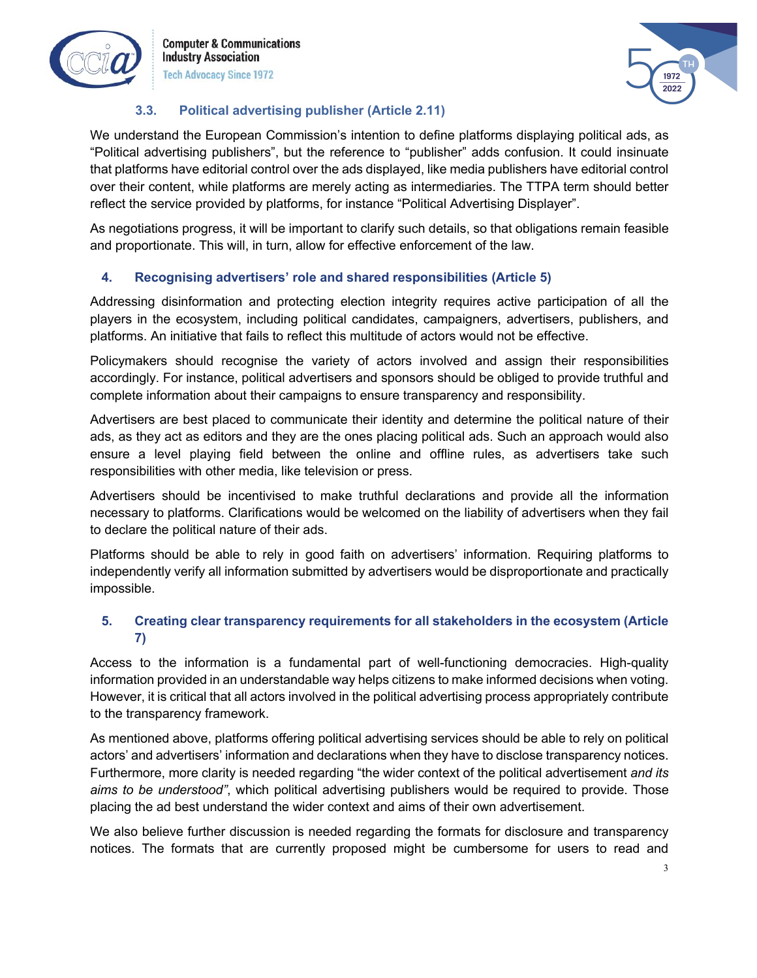

**Computer & Communications Industry Association Tech Advocacy Since 1972** 



## **3.3. Political advertising publisher (Article 2.11)**

We understand the European Commission's intention to define platforms displaying political ads, as "Political advertising publishers", but the reference to "publisher" adds confusion. It could insinuate that platforms have editorial control over the ads displayed, like media publishers have editorial control over their content, while platforms are merely acting as intermediaries. The TTPA term should better reflect the service provided by platforms, for instance "Political Advertising Displayer".

As negotiations progress, it will be important to clarify such details, so that obligations remain feasible and proportionate. This will, in turn, allow for effective enforcement of the law.

# **4. Recognising advertisers' role and shared responsibilities (Article 5)**

Addressing disinformation and protecting election integrity requires active participation of all the players in the ecosystem, including political candidates, campaigners, advertisers, publishers, and platforms. An initiative that fails to reflect this multitude of actors would not be effective.

Policymakers should recognise the variety of actors involved and assign their responsibilities accordingly. For instance, political advertisers and sponsors should be obliged to provide truthful and complete information about their campaigns to ensure transparency and responsibility.

Advertisers are best placed to communicate their identity and determine the political nature of their ads, as they act as editors and they are the ones placing political ads. Such an approach would also ensure a level playing field between the online and offline rules, as advertisers take such responsibilities with other media, like television or press.

Advertisers should be incentivised to make truthful declarations and provide all the information necessary to platforms. Clarifications would be welcomed on the liability of advertisers when they fail to declare the political nature of their ads.

Platforms should be able to rely in good faith on advertisers' information. Requiring platforms to independently verify all information submitted by advertisers would be disproportionate and practically impossible.

# **5. Creating clear transparency requirements for all stakeholders in the ecosystem (Article 7)**

Access to the information is a fundamental part of well-functioning democracies. High-quality information provided in an understandable way helps citizens to make informed decisions when voting. However, it is critical that all actors involved in the political advertising process appropriately contribute to the transparency framework.

As mentioned above, platforms offering political advertising services should be able to rely on political actors' and advertisers' information and declarations when they have to disclose transparency notices. Furthermore, more clarity is needed regarding "the wider context of the political advertisement *and its aims to be understood"*, which political advertising publishers would be required to provide. Those placing the ad best understand the wider context and aims of their own advertisement.

We also believe further discussion is needed regarding the formats for disclosure and transparency notices. The formats that are currently proposed might be cumbersome for users to read and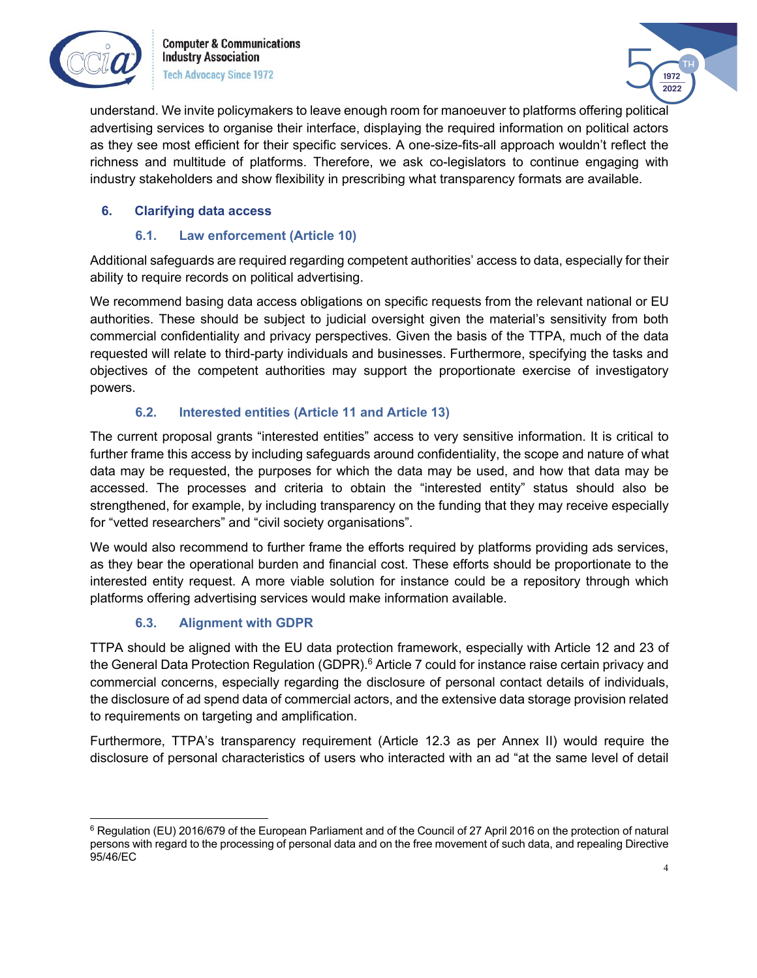

**Computer & Communications Industry Association Tech Advocacy Since 1972** 



understand. We invite policymakers to leave enough room for manoeuver to platforms offering political advertising services to organise their interface, displaying the required information on political actors as they see most efficient for their specific services. A one-size-fits-all approach wouldn't reflect the richness and multitude of platforms. Therefore, we ask co-legislators to continue engaging with industry stakeholders and show flexibility in prescribing what transparency formats are available.

## **6. Clarifying data access**

### **6.1. Law enforcement (Article 10)**

Additional safeguards are required regarding competent authorities' access to data, especially for their ability to require records on political advertising.

We recommend basing data access obligations on specific requests from the relevant national or EU authorities. These should be subject to judicial oversight given the material's sensitivity from both commercial confidentiality and privacy perspectives. Given the basis of the TTPA, much of the data requested will relate to third-party individuals and businesses. Furthermore, specifying the tasks and objectives of the competent authorities may support the proportionate exercise of investigatory powers.

## **6.2. Interested entities (Article 11 and Article 13)**

The current proposal grants "interested entities" access to very sensitive information. It is critical to further frame this access by including safeguards around confidentiality, the scope and nature of what data may be requested, the purposes for which the data may be used, and how that data may be accessed. The processes and criteria to obtain the "interested entity" status should also be strengthened, for example, by including transparency on the funding that they may receive especially for "vetted researchers" and "civil society organisations".

We would also recommend to further frame the efforts required by platforms providing ads services, as they bear the operational burden and financial cost. These efforts should be proportionate to the interested entity request. A more viable solution for instance could be a repository through which platforms offering advertising services would make information available.

# **6.3. Alignment with GDPR**

TTPA should be aligned with the EU data protection framework, especially with Article 12 and 23 of the General Data Protection Regulation (GDPR).<sup>6</sup> Article 7 could for instance raise certain privacy and commercial concerns, especially regarding the disclosure of personal contact details of individuals, the disclosure of ad spend data of commercial actors, and the extensive data storage provision related to requirements on targeting and amplification.

Furthermore, TTPA's transparency requirement (Article 12.3 as per Annex II) would require the disclosure of personal characteristics of users who interacted with an ad "at the same level of detail

<sup>&</sup>lt;sup>6</sup> Regulation (EU) 2016/679 of the European Parliament and of the Council of 27 April 2016 on the protection of natural persons with regard to the processing of personal data and on the free movement of such data, and repealing Directive 95/46/EC